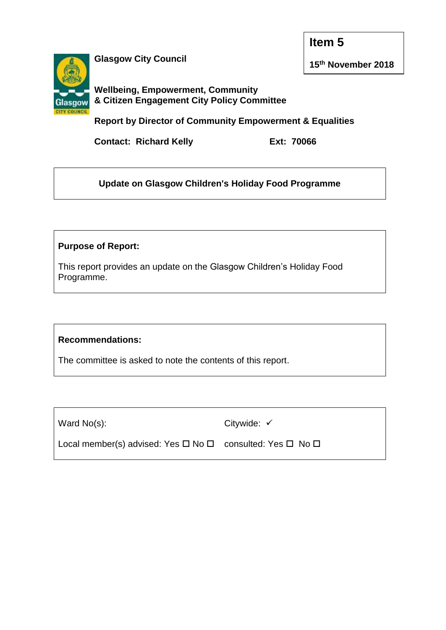**Item 5**



**Glasgow City Council**

**15th November 2018**

**Wellbeing, Empowerment, Community & Citizen Engagement City Policy Committee**

**Report by Director of Community Empowerment & Equalities**

**Contact: Richard Kelly Ext: 70066**

**Update on Glasgow Children's Holiday Food Programme**

# **Purpose of Report:**

This report provides an update on the Glasgow Children's Holiday Food Programme.

# **Recommendations:**

The committee is asked to note the contents of this report.

Ward No(s):

Citywide:  $\checkmark$ 

Local member(s) advised: Yes  $\Box$  No  $\Box$  consulted: Yes  $\Box$  No  $\Box$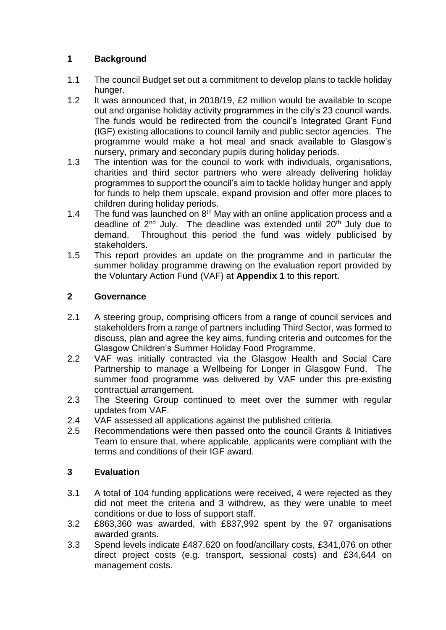## **1 Background**

- 1.1 The council Budget set out a commitment to develop plans to tackle holiday hunger.
- 1.2 It was announced that, in 2018/19, £2 million would be available to scope out and organise holiday activity programmes in the city's 23 council wards. The funds would be redirected from the council's Integrated Grant Fund (IGF) existing allocations to council family and public sector agencies. The programme would make a hot meal and snack available to Glasgow's nursery, primary and secondary pupils during holiday periods.
- 1.3 The intention was for the council to work with individuals, organisations, charities and third sector partners who were already delivering holiday programmes to support the council's aim to tackle holiday hunger and apply for funds to help them upscale, expand provision and offer more places to children during holiday periods.
- 1.4 The fund was launched on  $8<sup>th</sup>$  May with an online application process and a deadline of  $2^{nd}$  July. The deadline was extended until  $20^{th}$  July due to demand. Throughout this period the fund was widely publicised by stakeholders.
- 1.5 This report provides an update on the programme and in particular the summer holiday programme drawing on the evaluation report provided by the Voluntary Action Fund (VAF) at **Appendix 1** to this report.

### **2 Governance**

- 2.1 A steering group, comprising officers from a range of council services and stakeholders from a range of partners including Third Sector, was formed to discuss, plan and agree the key aims, funding criteria and outcomes for the Glasgow Children's Summer Holiday Food Programme.
- 2.2 VAF was initially contracted via the Glasgow Health and Social Care Partnership to manage a Wellbeing for Longer in Glasgow Fund. The summer food programme was delivered by VAF under this pre-existing contractual arrangement.
- 2.3 The Steering Group continued to meet over the summer with regular updates from VAF.
- 2.4 VAF assessed all applications against the published criteria.
- 2.5 Recommendations were then passed onto the council Grants & Initiatives Team to ensure that, where applicable, applicants were compliant with the terms and conditions of their IGF award.

### **3 Evaluation**

- 3.1 A total of 104 funding applications were received, 4 were rejected as they did not meet the criteria and 3 withdrew, as they were unable to meet conditions or due to loss of support staff.
- 3.2 £863,360 was awarded, with £837,992 spent by the 97 organisations awarded grants.
- 3.3 Spend levels indicate £487,620 on food/ancillary costs, £341,076 on other direct project costs (e.g. transport, sessional costs) and £34,644 on management costs.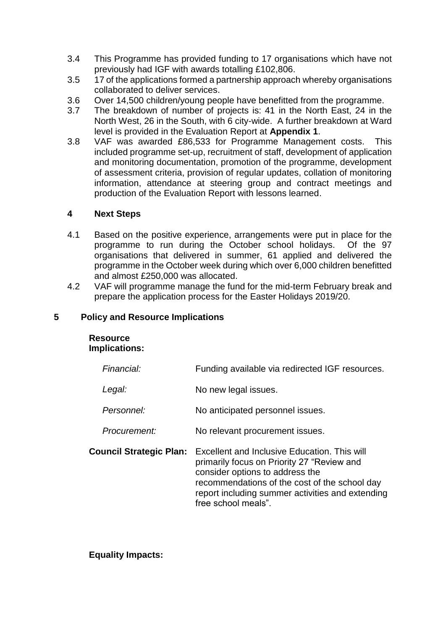- 3.4 This Programme has provided funding to 17 organisations which have not previously had IGF with awards totalling £102,806.
- 3.5 17 of the applications formed a partnership approach whereby organisations collaborated to deliver services.
- 3.6 Over 14,500 children/young people have benefitted from the programme.
- 3.7 The breakdown of number of projects is: 41 in the North East, 24 in the North West, 26 in the South, with 6 city-wide. A further breakdown at Ward level is provided in the Evaluation Report at **Appendix 1**.
- 3.8 VAF was awarded £86,533 for Programme Management costs. This included programme set-up, recruitment of staff, development of application and monitoring documentation, promotion of the programme, development of assessment criteria, provision of regular updates, collation of monitoring information, attendance at steering group and contract meetings and production of the Evaluation Report with lessons learned.

### **4 Next Steps**

- 4.1 Based on the positive experience, arrangements were put in place for the programme to run during the October school holidays. Of the 97 organisations that delivered in summer, 61 applied and delivered the programme in the October week during which over 6,000 children benefitted and almost £250,000 was allocated.
- 4.2 VAF will programme manage the fund for the mid-term February break and prepare the application process for the Easter Holidays 2019/20.

#### **5 Policy and Resource Implications**

# **Resource Implications:**

| Financial:                     | Funding available via redirected IGF resources.                                                                                                                                                                                                           |
|--------------------------------|-----------------------------------------------------------------------------------------------------------------------------------------------------------------------------------------------------------------------------------------------------------|
| Legal:                         | No new legal issues.                                                                                                                                                                                                                                      |
| Personnel:                     | No anticipated personnel issues.                                                                                                                                                                                                                          |
| Procurement:                   | No relevant procurement issues.                                                                                                                                                                                                                           |
| <b>Council Strategic Plan:</b> | Excellent and Inclusive Education. This will<br>primarily focus on Priority 27 "Review and<br>consider options to address the<br>recommendations of the cost of the school day<br>report including summer activities and extending<br>free school meals". |

### **Equality Impacts:**